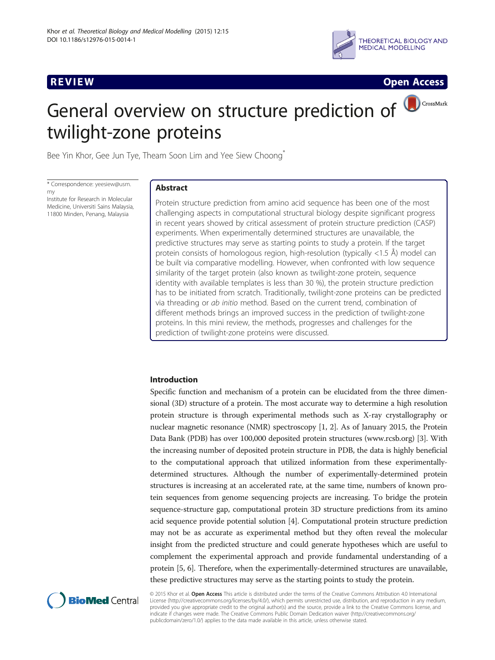

**REVIEW REVIEW CONSTRUCTER ACCESS** 

# General overview on structure prediction of  $\bigcirc$  CrossMark twilight-zone proteins

Bee Yin Khor, Gee Jun Tye, Theam Soon Lim and Yee Siew Choong<sup>\*</sup>

\* Correspondence: [yeesiew@usm.](mailto:yeesiew@usm.my) [my](mailto:yeesiew@usm.my) Institute for Research in Molecular Medicine, Universiti Sains Malaysia,

11800 Minden, Penang, Malaysia

### Abstract

Protein structure prediction from amino acid sequence has been one of the most challenging aspects in computational structural biology despite significant progress in recent years showed by critical assessment of protein structure prediction (CASP) experiments. When experimentally determined structures are unavailable, the predictive structures may serve as starting points to study a protein. If the target protein consists of homologous region, high-resolution (typically <1.5 Å) model can be built via comparative modelling. However, when confronted with low sequence similarity of the target protein (also known as twilight-zone protein, sequence identity with available templates is less than 30 %), the protein structure prediction has to be initiated from scratch. Traditionally, twilight-zone proteins can be predicted via threading or ab initio method. Based on the current trend, combination of different methods brings an improved success in the prediction of twilight-zone proteins. In this mini review, the methods, progresses and challenges for the prediction of twilight-zone proteins were discussed.

#### Introduction

Specific function and mechanism of a protein can be elucidated from the three dimensional (3D) structure of a protein. The most accurate way to determine a high resolution protein structure is through experimental methods such as X-ray crystallography or nuclear magnetic resonance (NMR) spectroscopy [[1, 2\]](#page-8-0). As of January 2015, the Protein Data Bank (PDB) has over 100,000 deposited protein structures ([www.rcsb.org](http://www.rcsb.org/)) [\[3\]](#page-8-0). With the increasing number of deposited protein structure in PDB, the data is highly beneficial to the computational approach that utilized information from these experimentallydetermined structures. Although the number of experimentally-determined protein structures is increasing at an accelerated rate, at the same time, numbers of known protein sequences from genome sequencing projects are increasing. To bridge the protein sequence-structure gap, computational protein 3D structure predictions from its amino acid sequence provide potential solution [[4\]](#page-8-0). Computational protein structure prediction may not be as accurate as experimental method but they often reveal the molecular insight from the predicted structure and could generate hypotheses which are useful to complement the experimental approach and provide fundamental understanding of a protein [[5](#page-8-0), [6](#page-8-0)]. Therefore, when the experimentally-determined structures are unavailable, these predictive structures may serve as the starting points to study the protein.



© 2015 Khor et al. Open Access This article is distributed under the terms of the Creative Commons Attribution 4.0 International License ([http://creativecommons.org/licenses/by/4.0/\)](http://creativecommons.org/licenses/by/4.0/), which permits unrestricted use, distribution, and reproduction in any medium, provided you give appropriate credit to the original author(s) and the source, provide a link to the Creative Commons license, and indicate if changes were made. The Creative Commons Public Domain Dedication waiver ([http://creativecommons.org/](http://creativecommons.org/publicdomain/zero/1.0/) [publicdomain/zero/1.0/\)](http://creativecommons.org/publicdomain/zero/1.0/) applies to the data made available in this article, unless otherwise stated.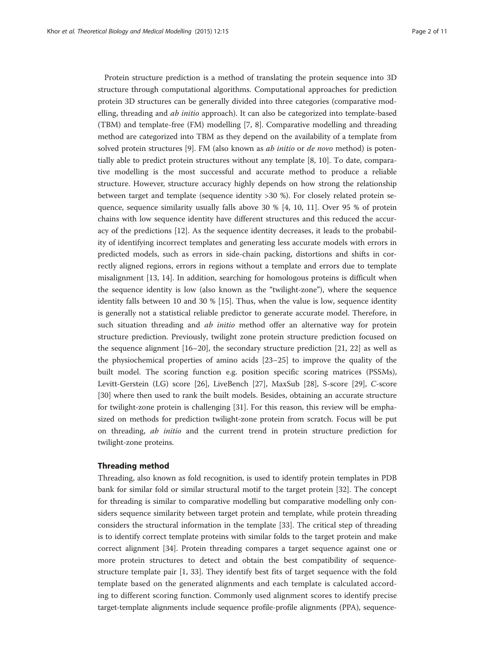Protein structure prediction is a method of translating the protein sequence into 3D structure through computational algorithms. Computational approaches for prediction protein 3D structures can be generally divided into three categories (comparative modelling, threading and ab initio approach). It can also be categorized into template-based (TBM) and template-free (FM) modelling [\[7](#page-8-0), [8\]](#page-8-0). Comparative modelling and threading method are categorized into TBM as they depend on the availability of a template from solved protein structures  $[9]$  $[9]$ . FM (also known as *ab initio* or *de novo* method) is potentially able to predict protein structures without any template [\[8, 10](#page-8-0)]. To date, comparative modelling is the most successful and accurate method to produce a reliable structure. However, structure accuracy highly depends on how strong the relationship between target and template (sequence identity >30 %). For closely related protein sequence, sequence similarity usually falls above 30 % [\[4](#page-8-0), [10](#page-8-0), [11\]](#page-8-0). Over 95 % of protein chains with low sequence identity have different structures and this reduced the accuracy of the predictions [\[12\]](#page-9-0). As the sequence identity decreases, it leads to the probability of identifying incorrect templates and generating less accurate models with errors in predicted models, such as errors in side-chain packing, distortions and shifts in correctly aligned regions, errors in regions without a template and errors due to template misalignment [\[13](#page-9-0), [14](#page-9-0)]. In addition, searching for homologous proteins is difficult when the sequence identity is low (also known as the "twilight-zone"), where the sequence identity falls between 10 and 30 % [[15\]](#page-9-0). Thus, when the value is low, sequence identity is generally not a statistical reliable predictor to generate accurate model. Therefore, in such situation threading and *ab initio* method offer an alternative way for protein structure prediction. Previously, twilight zone protein structure prediction focused on the sequence alignment [\[16](#page-9-0)–[20\]](#page-9-0), the secondary structure prediction [[21, 22](#page-9-0)] as well as the physiochemical properties of amino acids [[23](#page-9-0)–[25](#page-9-0)] to improve the quality of the built model. The scoring function e.g. position specific scoring matrices (PSSMs), Levitt-Gerstein (LG) score [[26\]](#page-9-0), LiveBench [[27\]](#page-9-0), MaxSub [[28](#page-9-0)], S-score [[29](#page-9-0)], C-score [[30\]](#page-9-0) where then used to rank the built models. Besides, obtaining an accurate structure for twilight-zone protein is challenging [[31](#page-9-0)]. For this reason, this review will be emphasized on methods for prediction twilight-zone protein from scratch. Focus will be put on threading, ab initio and the current trend in protein structure prediction for twilight-zone proteins.

#### Threading method

Threading, also known as fold recognition, is used to identify protein templates in PDB bank for similar fold or similar structural motif to the target protein [[32](#page-9-0)]. The concept for threading is similar to comparative modelling but comparative modelling only considers sequence similarity between target protein and template, while protein threading considers the structural information in the template [[33\]](#page-9-0). The critical step of threading is to identify correct template proteins with similar folds to the target protein and make correct alignment [[34\]](#page-9-0). Protein threading compares a target sequence against one or more protein structures to detect and obtain the best compatibility of sequencestructure template pair [\[1,](#page-8-0) [33](#page-9-0)]. They identify best fits of target sequence with the fold template based on the generated alignments and each template is calculated according to different scoring function. Commonly used alignment scores to identify precise target-template alignments include sequence profile-profile alignments (PPA), sequence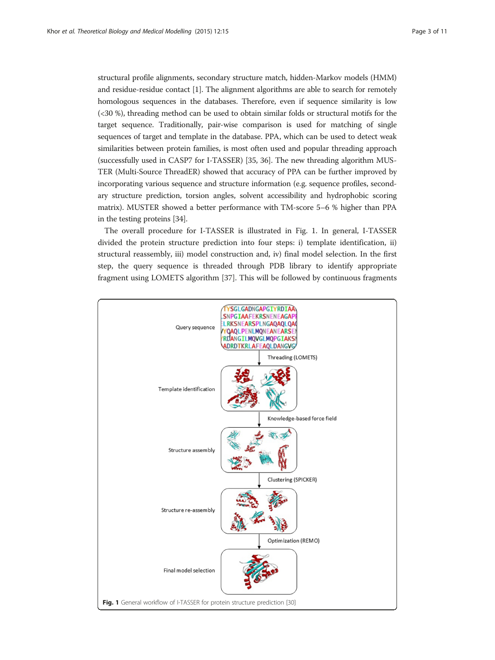structural profile alignments, secondary structure match, hidden-Markov models (HMM) and residue-residue contact [[1](#page-8-0)]. The alignment algorithms are able to search for remotely homologous sequences in the databases. Therefore, even if sequence similarity is low (<30 %), threading method can be used to obtain similar folds or structural motifs for the target sequence. Traditionally, pair-wise comparison is used for matching of single sequences of target and template in the database. PPA, which can be used to detect weak similarities between protein families, is most often used and popular threading approach (successfully used in CASP7 for I-TASSER) [[35](#page-9-0), [36\]](#page-9-0). The new threading algorithm MUS-TER (Multi-Source ThreadER) showed that accuracy of PPA can be further improved by incorporating various sequence and structure information (e.g. sequence profiles, secondary structure prediction, torsion angles, solvent accessibility and hydrophobic scoring matrix). MUSTER showed a better performance with TM-score 5–6 % higher than PPA in the testing proteins [[34\]](#page-9-0).

The overall procedure for I-TASSER is illustrated in Fig. 1. In general, I-TASSER divided the protein structure prediction into four steps: i) template identification, ii) structural reassembly, iii) model construction and, iv) final model selection. In the first step, the query sequence is threaded through PDB library to identify appropriate fragment using LOMETS algorithm [[37\]](#page-9-0). This will be followed by continuous fragments

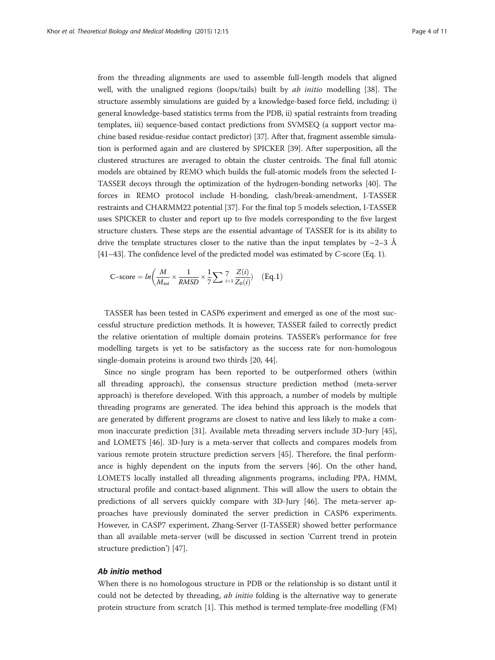from the threading alignments are used to assemble full-length models that aligned well, with the unaligned regions (loops/tails) built by *ab initio* modelling [[38](#page-9-0)]. The structure assembly simulations are guided by a knowledge-based force field, including: i) general knowledge-based statistics terms from the PDB, ii) spatial restraints from treading templates, iii) sequence-based contact predictions from SVMSEQ (a support vector machine based residue-residue contact predictor) [[37](#page-9-0)]. After that, fragment assemble simulation is performed again and are clustered by SPICKER [\[39\]](#page-9-0). After superposition, all the clustered structures are averaged to obtain the cluster centroids. The final full atomic models are obtained by REMO which builds the full-atomic models from the selected I-TASSER decoys through the optimization of the hydrogen-bonding networks [\[40\]](#page-9-0). The forces in REMO protocol include H-bonding, clash/break-amendment, I-TASSER restraints and CHARMM22 potential [\[37](#page-9-0)]. For the final top 5 models selection, I-TASSER uses SPICKER to cluster and report up to five models corresponding to the five largest structure clusters. These steps are the essential advantage of TASSER for is its ability to drive the template structures closer to the native than the input templates by  $\sim$ 2–3 Å [[41](#page-9-0)–[43\]](#page-9-0). The confidence level of the predicted model was estimated by C-score (Eq. 1).

$$
\text{C-score} = \ln\left(\frac{M}{M_{tot}} \times \frac{1}{RMSD} \times \frac{1}{7} \sum_{i=1}^{7} \frac{Z(i)}{Z_0(i)}\right) \quad \text{(Eq.1)}
$$

TASSER has been tested in CASP6 experiment and emerged as one of the most successful structure prediction methods. It is however, TASSER failed to correctly predict the relative orientation of multiple domain proteins. TASSER's performance for free modelling targets is yet to be satisfactory as the success rate for non-homologous single-domain proteins is around two thirds [[20, 44\]](#page-9-0).

Since no single program has been reported to be outperformed others (within all threading approach), the consensus structure prediction method (meta-server approach) is therefore developed. With this approach, a number of models by multiple threading programs are generated. The idea behind this approach is the models that are generated by different programs are closest to native and less likely to make a common inaccurate prediction [[31](#page-9-0)]. Available meta threading servers include 3D-Jury [[45](#page-9-0)], and LOMETS [[46\]](#page-9-0). 3D-Jury is a meta-server that collects and compares models from various remote protein structure prediction servers [[45\]](#page-9-0). Therefore, the final performance is highly dependent on the inputs from the servers [[46\]](#page-9-0). On the other hand, LOMETS locally installed all threading alignments programs, including PPA, HMM, structural profile and contact-based alignment. This will allow the users to obtain the predictions of all servers quickly compare with 3D-Jury [[46\]](#page-9-0). The meta-server approaches have previously dominated the server prediction in CASP6 experiments. However, in CASP7 experiment, Zhang-Server (I-TASSER) showed better performance than all available meta-server (will be discussed in section 'Current trend in protein structure prediction') [\[47](#page-9-0)].

#### Ab initio method

When there is no homologous structure in PDB or the relationship is so distant until it could not be detected by threading, *ab initio* folding is the alternative way to generate protein structure from scratch [\[1](#page-8-0)]. This method is termed template-free modelling (FM)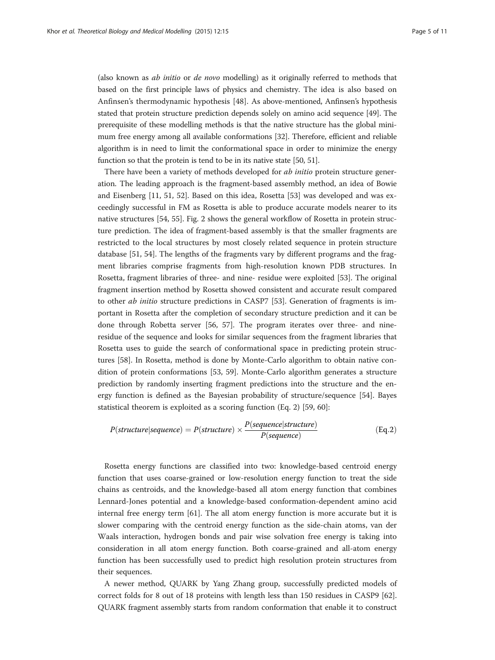(also known as ab initio or de novo modelling) as it originally referred to methods that based on the first principle laws of physics and chemistry. The idea is also based on Anfinsen's thermodynamic hypothesis [[48\]](#page-9-0). As above-mentioned, Anfinsen's hypothesis stated that protein structure prediction depends solely on amino acid sequence [[49](#page-9-0)]. The prerequisite of these modelling methods is that the native structure has the global minimum free energy among all available conformations [[32](#page-9-0)]. Therefore, efficient and reliable algorithm is in need to limit the conformational space in order to minimize the energy function so that the protein is tend to be in its native state [[50](#page-9-0), [51\]](#page-9-0).

There have been a variety of methods developed for *ab initio* protein structure generation. The leading approach is the fragment-based assembly method, an idea of Bowie and Eisenberg [\[11,](#page-8-0) [51](#page-9-0), [52](#page-9-0)]. Based on this idea, Rosetta [[53\]](#page-10-0) was developed and was exceedingly successful in FM as Rosetta is able to produce accurate models nearer to its native structures [[54, 55](#page-10-0)]. Fig. [2](#page-5-0) shows the general workflow of Rosetta in protein structure prediction. The idea of fragment-based assembly is that the smaller fragments are restricted to the local structures by most closely related sequence in protein structure database [[51](#page-9-0), [54](#page-10-0)]. The lengths of the fragments vary by different programs and the fragment libraries comprise fragments from high-resolution known PDB structures. In Rosetta, fragment libraries of three- and nine- residue were exploited [\[53\]](#page-10-0). The original fragment insertion method by Rosetta showed consistent and accurate result compared to other *ab initio* structure predictions in CASP7 [[53\]](#page-10-0). Generation of fragments is important in Rosetta after the completion of secondary structure prediction and it can be done through Robetta server [\[56](#page-10-0), [57](#page-10-0)]. The program iterates over three- and nineresidue of the sequence and looks for similar sequences from the fragment libraries that Rosetta uses to guide the search of conformational space in predicting protein structures [\[58](#page-10-0)]. In Rosetta, method is done by Monte-Carlo algorithm to obtain native condition of protein conformations [\[53, 59\]](#page-10-0). Monte-Carlo algorithm generates a structure prediction by randomly inserting fragment predictions into the structure and the energy function is defined as the Bayesian probability of structure/sequence [[54](#page-10-0)]. Bayes statistical theorem is exploited as a scoring function (Eq. 2) [\[59, 60\]](#page-10-0):

$$
P(structure| sequence) = P(structure) \times \frac{P(sequence|structure)}{P(sequence)}
$$
(Eq.2)

Rosetta energy functions are classified into two: knowledge-based centroid energy function that uses coarse-grained or low-resolution energy function to treat the side chains as centroids, and the knowledge-based all atom energy function that combines Lennard-Jones potential and a knowledge-based conformation-dependent amino acid internal free energy term [\[61](#page-10-0)]. The all atom energy function is more accurate but it is slower comparing with the centroid energy function as the side-chain atoms, van der Waals interaction, hydrogen bonds and pair wise solvation free energy is taking into consideration in all atom energy function. Both coarse-grained and all-atom energy function has been successfully used to predict high resolution protein structures from their sequences.

A newer method, QUARK by Yang Zhang group, successfully predicted models of correct folds for 8 out of 18 proteins with length less than 150 residues in CASP9 [[62](#page-10-0)]. QUARK fragment assembly starts from random conformation that enable it to construct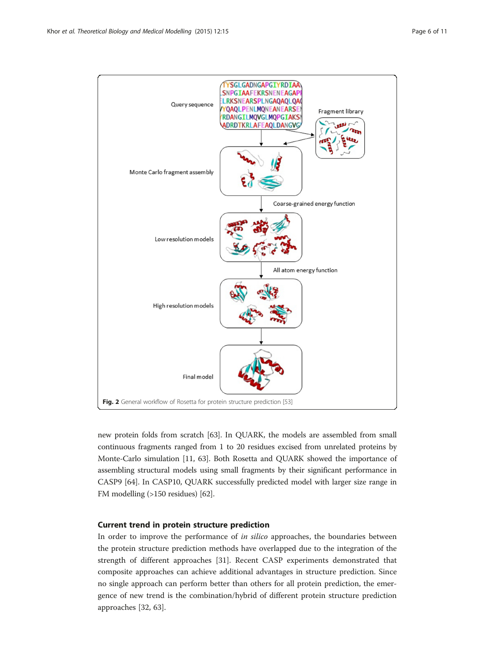<span id="page-5-0"></span>

new protein folds from scratch [\[63](#page-10-0)]. In QUARK, the models are assembled from small continuous fragments ranged from 1 to 20 residues excised from unrelated proteins by Monte-Carlo simulation [[11](#page-8-0), [63](#page-10-0)]. Both Rosetta and QUARK showed the importance of assembling structural models using small fragments by their significant performance in CASP9 [\[64\]](#page-10-0). In CASP10, QUARK successfully predicted model with larger size range in FM modelling (>150 residues) [\[62](#page-10-0)].

### Current trend in protein structure prediction

In order to improve the performance of *in silico* approaches, the boundaries between the protein structure prediction methods have overlapped due to the integration of the strength of different approaches [[31\]](#page-9-0). Recent CASP experiments demonstrated that composite approaches can achieve additional advantages in structure prediction. Since no single approach can perform better than others for all protein prediction, the emergence of new trend is the combination/hybrid of different protein structure prediction approaches [[32](#page-9-0), [63](#page-10-0)].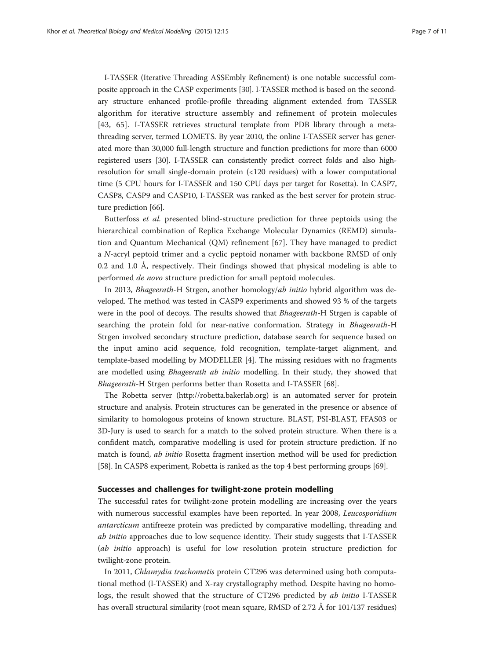I-TASSER (Iterative Threading ASSEmbly Refinement) is one notable successful composite approach in the CASP experiments [\[30](#page-9-0)]. I-TASSER method is based on the secondary structure enhanced profile-profile threading alignment extended from TASSER algorithm for iterative structure assembly and refinement of protein molecules [[43](#page-9-0), [65](#page-10-0)]. I-TASSER retrieves structural template from PDB library through a metathreading server, termed LOMETS. By year 2010, the online I-TASSER server has generated more than 30,000 full-length structure and function predictions for more than 6000 registered users [\[30\]](#page-9-0). I-TASSER can consistently predict correct folds and also highresolution for small single-domain protein (<120 residues) with a lower computational time (5 CPU hours for I-TASSER and 150 CPU days per target for Rosetta). In CASP7, CASP8, CASP9 and CASP10, I-TASSER was ranked as the best server for protein structure prediction [\[66\]](#page-10-0).

Butterfoss et al. presented blind-structure prediction for three peptoids using the hierarchical combination of Replica Exchange Molecular Dynamics (REMD) simulation and Quantum Mechanical (QM) refinement [\[67](#page-10-0)]. They have managed to predict a N-acryl peptoid trimer and a cyclic peptoid nonamer with backbone RMSD of only 0.2 and 1.0 Å, respectively. Their findings showed that physical modeling is able to performed de novo structure prediction for small peptoid molecules.

In 2013, Bhageerath-H Strgen, another homology/ab initio hybrid algorithm was developed. The method was tested in CASP9 experiments and showed 93 % of the targets were in the pool of decoys. The results showed that *Bhageerath*-H Strgen is capable of searching the protein fold for near-native conformation. Strategy in Bhageerath-H Strgen involved secondary structure prediction, database search for sequence based on the input amino acid sequence, fold recognition, template-target alignment, and template-based modelling by MODELLER [\[4](#page-8-0)]. The missing residues with no fragments are modelled using Bhageerath ab initio modelling. In their study, they showed that Bhageerath-H Strgen performs better than Rosetta and I-TASSER [[68\]](#page-10-0).

The Robetta server [\(http://robetta.bakerlab.org](http://robetta.bakerlab.org/)) is an automated server for protein structure and analysis. Protein structures can be generated in the presence or absence of similarity to homologous proteins of known structure. BLAST, PSI-BLAST, FFAS03 or 3D-Jury is used to search for a match to the solved protein structure. When there is a confident match, comparative modelling is used for protein structure prediction. If no match is found, ab initio Rosetta fragment insertion method will be used for prediction [[58](#page-10-0)]. In CASP8 experiment, Robetta is ranked as the top 4 best performing groups [\[69\]](#page-10-0).

#### Successes and challenges for twilight-zone protein modelling

The successful rates for twilight-zone protein modelling are increasing over the years with numerous successful examples have been reported. In year 2008, Leucosporidium antarcticum antifreeze protein was predicted by comparative modelling, threading and ab initio approaches due to low sequence identity. Their study suggests that I-TASSER (ab initio approach) is useful for low resolution protein structure prediction for twilight-zone protein.

In 2011, Chlamydia trachomatis protein CT296 was determined using both computational method (I-TASSER) and X-ray crystallography method. Despite having no homologs, the result showed that the structure of CT296 predicted by ab initio I-TASSER has overall structural similarity (root mean square, RMSD of 2.72 Å for 101/137 residues)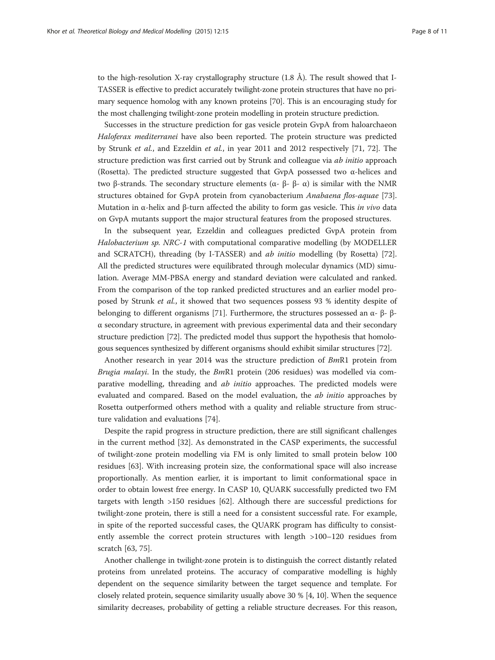to the high-resolution X-ray crystallography structure  $(1.8 \text{ Å})$ . The result showed that I-TASSER is effective to predict accurately twilight-zone protein structures that have no primary sequence homolog with any known proteins [[70](#page-10-0)]. This is an encouraging study for the most challenging twilight-zone protein modelling in protein structure prediction.

Successes in the structure prediction for gas vesicle protein GvpA from haloarchaeon Haloferax mediterranei have also been reported. The protein structure was predicted by Strunk et al., and Ezzeldin et al., in year 2011 and 2012 respectively [[71, 72](#page-10-0)]. The structure prediction was first carried out by Strunk and colleague via *ab initio* approach (Rosetta). The predicted structure suggested that GvpA possessed two  $\alpha$ -helices and two β-strands. The secondary structure elements ( $\alpha$ - β- β- α) is similar with the NMR structures obtained for GvpA protein from cyanobacterium Anabaena flos-aquae [[73](#page-10-0)]. Mutation in α-helix and β-turn affected the ability to form gas vesicle. This *in vivo* data on GvpA mutants support the major structural features from the proposed structures.

In the subsequent year, Ezzeldin and colleagues predicted GvpA protein from Halobacterium sp. NRC-1 with computational comparative modelling (by MODELLER and SCRATCH), threading (by I-TASSER) and ab initio modelling (by Rosetta) [[72](#page-10-0)]. All the predicted structures were equilibrated through molecular dynamics (MD) simulation. Average MM-PBSA energy and standard deviation were calculated and ranked. From the comparison of the top ranked predicted structures and an earlier model proposed by Strunk et al., it showed that two sequences possess 93 % identity despite of belonging to different organisms [\[71](#page-10-0)]. Furthermore, the structures possessed an α- β- β- $\alpha$  secondary structure, in agreement with previous experimental data and their secondary structure prediction [[72](#page-10-0)]. The predicted model thus support the hypothesis that homologous sequences synthesized by different organisms should exhibit similar structures [[72](#page-10-0)].

Another research in year 2014 was the structure prediction of BmR1 protein from Brugia malayi. In the study, the  $BmR1$  protein (206 residues) was modelled via comparative modelling, threading and ab initio approaches. The predicted models were evaluated and compared. Based on the model evaluation, the *ab initio* approaches by Rosetta outperformed others method with a quality and reliable structure from structure validation and evaluations [[74\]](#page-10-0).

Despite the rapid progress in structure prediction, there are still significant challenges in the current method [[32\]](#page-9-0). As demonstrated in the CASP experiments, the successful of twilight-zone protein modelling via FM is only limited to small protein below 100 residues [\[63](#page-10-0)]. With increasing protein size, the conformational space will also increase proportionally. As mention earlier, it is important to limit conformational space in order to obtain lowest free energy. In CASP 10, QUARK successfully predicted two FM targets with length >150 residues [[62](#page-10-0)]. Although there are successful predictions for twilight-zone protein, there is still a need for a consistent successful rate. For example, in spite of the reported successful cases, the QUARK program has difficulty to consistently assemble the correct protein structures with length >100–120 residues from scratch [[63, 75\]](#page-10-0).

Another challenge in twilight-zone protein is to distinguish the correct distantly related proteins from unrelated proteins. The accuracy of comparative modelling is highly dependent on the sequence similarity between the target sequence and template. For closely related protein, sequence similarity usually above 30 % [\[4, 10](#page-8-0)]. When the sequence similarity decreases, probability of getting a reliable structure decreases. For this reason,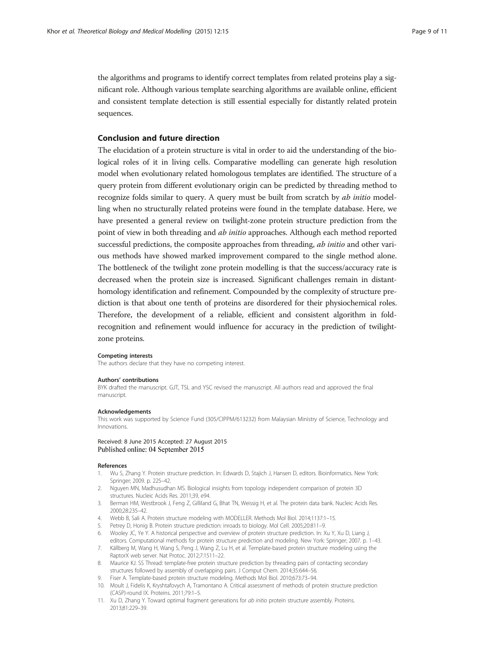<span id="page-8-0"></span>the algorithms and programs to identify correct templates from related proteins play a significant role. Although various template searching algorithms are available online, efficient and consistent template detection is still essential especially for distantly related protein sequences.

#### Conclusion and future direction

The elucidation of a protein structure is vital in order to aid the understanding of the biological roles of it in living cells. Comparative modelling can generate high resolution model when evolutionary related homologous templates are identified. The structure of a query protein from different evolutionary origin can be predicted by threading method to recognize folds similar to query. A query must be built from scratch by ab initio modelling when no structurally related proteins were found in the template database. Here, we have presented a general review on twilight-zone protein structure prediction from the point of view in both threading and *ab initio* approaches. Although each method reported successful predictions, the composite approaches from threading, *ab initio* and other various methods have showed marked improvement compared to the single method alone. The bottleneck of the twilight zone protein modelling is that the success/accuracy rate is decreased when the protein size is increased. Significant challenges remain in distanthomology identification and refinement. Compounded by the complexity of structure prediction is that about one tenth of proteins are disordered for their physiochemical roles. Therefore, the development of a reliable, efficient and consistent algorithm in foldrecognition and refinement would influence for accuracy in the prediction of twilightzone proteins.

#### Competing interests

The authors declare that they have no competing interest.

#### Authors' contributions

BYK drafted the manuscript. GJT, TSL and YSC revised the manuscript. All authors read and approved the final manuscript.

#### Acknowledgements

This work was supported by Science Fund (305/CIPPM/613232) from Malaysian Ministry of Science, Technology and Innovations.

## Received: 8 June 2015 Accepted: 27 August 2015<br>Published online: 04 September 2015

#### References

- 1. Wu S, Zhang Y. Protein structure prediction. In: Edwards D, Stajich J, Hansen D, editors. Bioinformatics. New York: Springer; 2009. p. 225–42.
- 2. Nguyen MN, Madhusudhan MS. Biological insights from topology independent comparison of protein 3D structures. Nucleic Acids Res. 2011;39, e94.
- 3. Berman HM, Westbrook J, Feng Z, Gilliland G, Bhat TN, Weissig H, et al. The protein data bank. Nucleic Acids Res. 2000;28:235–42.
- 4. Webb B, Sali A. Protein structure modeling with MODELLER. Methods Mol Biol. 2014;1137:1–15.
- 5. Petrey D, Honig B. Protein structure prediction: inroads to biology. Mol Cell. 2005;20:811–9.
- 6. Wooley JC, Ye Y. A historical perspective and overview of protein structure prediction. In: Xu Y, Xu D, Liang J, editors. Computational methods for protein structure prediction and modeling. New York: Springer; 2007. p. 1–43.
- 7. Källberg M, Wang H, Wang S, Peng J, Wang Z, Lu H, et al. Template-based protein structure modeling using the RaptorX web server. Nat Protoc. 2012;7:1511–22.
- 8. Maurice KJ. SS Thread: template-free protein structure prediction by threading pairs of contacting secondary structures followed by assembly of overlapping pairs. J Comput Chem. 2014;35:644–56.
- 9. Fiser A. Template-based protein structure modeling. Methods Mol Biol. 2010;673:73–94.
- 10. Moult J, Fidelis K, Kryshtafovych A, Tramontano A. Critical assessment of methods of protein structure prediction (CASP)-round IX. Proteins. 2011;79:1–5.
- 11. Xu D, Zhang Y. Toward optimal fragment generations for ab initio protein structure assembly. Proteins. 2013;81:229–39.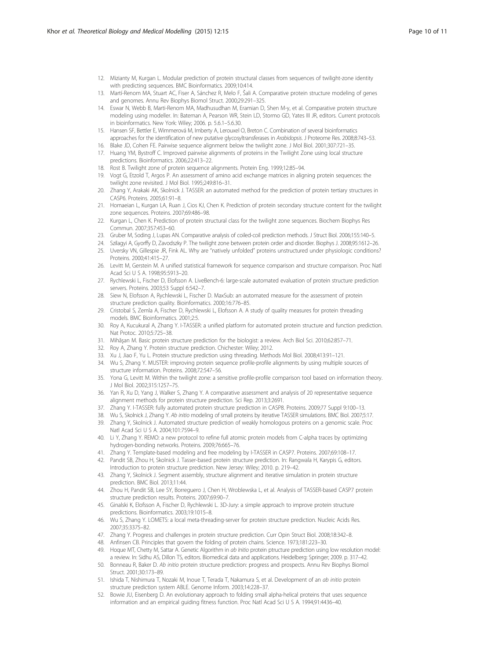- <span id="page-9-0"></span>12. Mizianty M, Kurgan L. Modular prediction of protein structural classes from sequences of twilight-zone identity with predicting sequences. BMC Bioinformatics. 2009;10:414.
- 13. Martí-Renom MA, Stuart AC, Fiser A, Sánchez R, Melo F, Šali A. Comparative protein structure modeling of genes and genomes. Annu Rev Biophys Biomol Struct. 2000;29:291–325.
- 14. Eswar N, Webb B, Marti-Renom MA, Madhusudhan M, Eramian D, Shen M-y, et al. Comparative protein structure modeling using modeller. In: Bateman A, Pearson WR, Stein LD, Stormo GD, Yates III JR, editors. Current protocols in bioinformatics. New York: Wiley; 2006. p. 5.6.1–5.6.30.
- 15. Hansen SF, Bettler E, Wimmerová M, Imberty A, Lerouxel O, Breton C. Combination of several bioinformatics approaches for the identification of new putative glycosyltransferases in Arabidopsis. J Proteome Res. 2008;8:743-53.
- 16. Blake JD, Cohen FE. Pairwise sequence alignment below the twilight zone. J Mol Biol. 2001;307:721–35.
- 17. Huang YM, Bystroff C. Improved pairwise alignments of proteins in the Twilight Zone using local structure predictions. Bioinformatics. 2006;22:413–22.
- 18. Rost B. Twilight zone of protein sequence alignments. Protein Eng. 1999;12:85–94.
- 19. Vogt G, Etzold T, Argos P. An assessment of amino acid exchange matrices in aligning protein sequences: the twilight zone revisited. J Mol Biol. 1995;249:816–31.
- 20. Zhang Y, Arakaki AK, Skolnick J. TASSER: an automated method for the prediction of protein tertiary structures in CASP6. Proteins. 2005;61:91–8.
- 21. Homaeian L, Kurgan LA, Ruan J, Cios KJ, Chen K. Prediction of protein secondary structure content for the twilight zone sequences. Proteins. 2007;69:486–98.
- 22. Kurgan L, Chen K. Prediction of protein structural class for the twilight zone sequences. Biochem Biophys Res Commun. 2007;357:453–60.
- 23. Gruber M, Soding J, Lupas AN. Comparative analysis of coiled-coil prediction methods. J Struct Biol. 2006;155:140–5.
- 24. Szilagyi A, Gyorffy D, Zavodszky P. The twilight zone between protein order and disorder. Biophys J. 2008;95:1612–26. 25. Uversky VN, Gillespie JR, Fink AL. Why are "natively unfolded" proteins unstructured under physiologic conditions?
- Proteins. 2000;41:415–27. 26. Levitt M, Gerstein M. A unified statistical framework for sequence comparison and structure comparison. Proc Natl
- Acad Sci U S A. 1998;95:5913–20.
- 27. Rychlewski L, Fischer D, Elofsson A. LiveBench-6: large-scale automated evaluation of protein structure prediction servers. Proteins. 2003;53 Suppl 6:542–7.
- 28. Siew N, Elofsson A, Rychlewski L, Fischer D. MaxSub: an automated measure for the assessment of protein structure prediction quality. Bioinformatics. 2000;16:776–85.
- 29. Cristobal S, Zemla A, Fischer D, Rychlewski L, Elofsson A. A study of quality measures for protein threading models. BMC Bioinformatics. 2001;2:5.
- 30. Roy A, Kucukural A, Zhang Y. I-TASSER: a unified platform for automated protein structure and function prediction. Nat Protoc. 2010;5:725–38.
- 31. Mihăşan M. Basic protein structure prediction for the biologist: a review. Arch Biol Sci. 2010;62:857–71.
- 32. Roy A, Zhang Y. Protein structure prediction. Chichester: Wiley; 2012.
- 33. Xu J, Jiao F, Yu L. Protein structure prediction using threading. Methods Mol Biol. 2008;413:91–121.
- 34. Wu S, Zhang Y. MUSTER: improving protein sequence profile-profile alignments by using multiple sources of structure information. Proteins. 2008;72:547–56.
- 35. Yona G, Levitt M. Within the twilight zone: a sensitive profile-profile comparison tool based on information theory. J Mol Biol. 2002;315:1257–75.
- 36. Yan R, Xu D, Yang J, Walker S, Zhang Y. A comparative assessment and analysis of 20 representative sequence alignment methods for protein structure prediction. Sci Rep. 2013;3:2691.
- 37. Zhang Y. I-TASSER: fully automated protein structure prediction in CASP8. Proteins. 2009;77 Suppl 9:100–13.
- 38. Wu S, Skolnick J, Zhang Y. Ab initio modeling of small proteins by iterative TASSER simulations. BMC Biol. 2007;5:17.
- 39. Zhang Y, Skolnick J. Automated structure prediction of weakly homologous proteins on a genomic scale. Proc Natl Acad Sci U S A. 2004;101:7594–9.
- 40. Li Y, Zhang Y. REMO: a new protocol to refine full atomic protein models from C-alpha traces by optimizing hydrogen-bonding networks. Proteins. 2009;76:665–76.
- 41. Zhang Y. Template-based modeling and free modeling by I-TASSER in CASP7. Proteins. 2007;69:108–17.
- 42. Pandit SB, Zhou H, Skolnick J. Tasser-based protein structure prediction. In: Rangwala H, Karypis G, editors. Introduction to protein structure prediction. New Jersey: Wiley; 2010. p. 219–42.
- 43. Zhang Y, Skolnick J. Segment assembly, structure alignment and iterative simulation in protein structure prediction. BMC Biol. 2013;11:44.
- 44. Zhou H, Pandit SB, Lee SY, Borreguero J, Chen H, Wroblewska L, et al. Analysis of TASSER-based CASP7 protein structure prediction results. Proteins. 2007;69:90–7.
- 45. Ginalski K, Elofsson A, Fischer D, Rychlewski L. 3D-Jury: a simple approach to improve protein structure predictions. Bioinformatics. 2003;19:1015–8.
- 46. Wu S, Zhang Y. LOMETS: a local meta-threading-server for protein structure prediction. Nucleic Acids Res. 2007;35:3375–82.
- 47. Zhang Y. Progress and challenges in protein structure prediction. Curr Opin Struct Biol. 2008;18:342–8.
- 48. Anfinsen CB. Principles that govern the folding of protein chains. Science. 1973;181:223–30.
- 49. Hoque MT, Chetty M, Sattar A. Genetic Algorithm in ab Initio protein ptructure prediction using low resolution model: a review. In: Sidhu AS, Dillon TS, editors. Biomedical data and applications. Heidelberg: Springer; 2009. p. 317–42.
- 50. Bonneau R, Baker D. Ab initio protein structure prediction: progress and prospects. Annu Rev Biophys Biomol Struct. 2001;30:173–89.
- 51. Ishida T, Nishimura T, Nozaki M, Inoue T, Terada T, Nakamura S, et al. Development of an ab initio protein structure prediction system ABLE. Genome Inform. 2003;14:228–37.
- 52. Bowie JU, Eisenberg D. An evolutionary approach to folding small alpha-helical proteins that uses sequence information and an empirical guiding fitness function. Proc Natl Acad Sci U S A. 1994;91:4436–40.